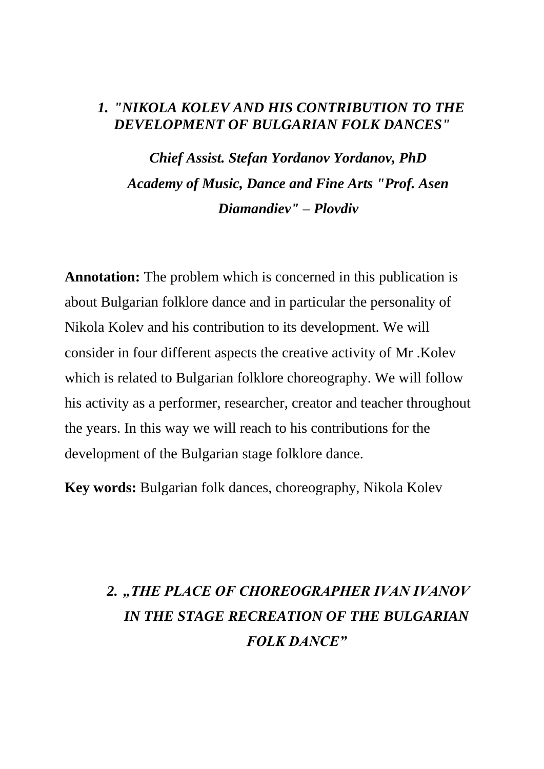## *1. "NIKOLA KOLEV AND HIS CONTRIBUTION TO THE DEVELOPMENT OF BULGARIAN FOLK DANCES"*

*Chief Assist. Stefan Yordanov Yordanov, PhD Academy of Music, Dance and Fine Arts "Prof. Asen Diamandiev" – Plovdiv*

**Annotation:** The problem which is concerned in this publication is about Bulgarian folklore dance and in particular the personality of Nikola Kolev and his contribution to its development. We will consider in four different aspects the creative activity of Mr .Kolev which is related to Bulgarian folklore choreography. We will follow his activity as a performer, researcher, creator and teacher throughout the years. In this way we will reach to his contributions for the development of the Bulgarian stage folklore dance.

**Key words:** Bulgarian folk dances, choreography, Nikola Kolev

## 2. "THE PLACE OF CHOREOGRAPHER IVAN IVANOV *IN THE STAGE RECREATION OF THE BULGARIAN FOLK DANCE"*